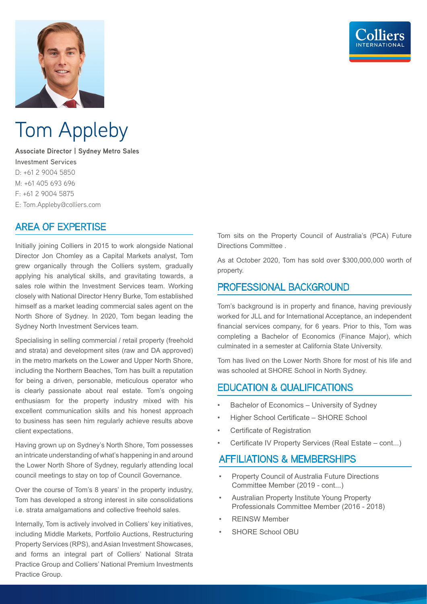

## Tom Appleby

**Associate Director | Sydney Metro Sales Investment Services** D: +61 2 9004 5850 M: +61 405 693 696 F: +61 2 9004 5875 E: Tom.Appleby@colliers.com

## AREA OF EXPERTISE

Initially joining Colliers in 2015 to work alongside National Director Jon Chomley as a Capital Markets analyst, Tom grew organically through the Colliers system, gradually applying his analytical skills, and gravitating towards, a sales role within the Investment Services team. Working closely with National Director Henry Burke, Tom established himself as a market leading commercial sales agent on the North Shore of Sydney. In 2020, Tom began leading the Sydney North Investment Services team.

Specialising in selling commercial / retail property (freehold and strata) and development sites (raw and DA approved) in the metro markets on the Lower and Upper North Shore, including the Northern Beaches, Tom has built a reputation for being a driven, personable, meticulous operator who is clearly passionate about real estate. Tom's ongoing enthusiasm for the property industry mixed with his excellent communication skills and his honest approach to business has seen him regularly achieve results above client expectations.

Having grown up on Sydney's North Shore, Tom possesses an intricate understanding of what's happening in and around the Lower North Shore of Sydney, regularly attending local council meetings to stay on top of Council Governance.

Over the course of Tom's 8 years' in the property industry, Tom has developed a strong interest in site consolidations i.e. strata amalgamations and collective freehold sales.

Internally, Tom is actively involved in Colliers' key initiatives, including Middle Markets, Portfolio Auctions, Restructuring Property Services (RPS), and Asian Investment Showcases, and forms an integral part of Colliers' National Strata Practice Group and Colliers' National Premium Investments Practice Group.

Tom sits on the Property Council of Australia's (PCA) Future Directions Committee .

As at October 2020, Tom has sold over \$300,000,000 worth of property.

### PROFESSIONAL BACKGROUND

Tom's background is in property and finance, having previously worked for JLL and for International Acceptance, an independent financial services company, for 6 years. Prior to this, Tom was completing a Bachelor of Economics (Finance Major), which culminated in a semester at California State University.

Tom has lived on the Lower North Shore for most of his life and was schooled at SHORE School in North Sydney.

## EDUCATION & QUALIFICATIONS

- Bachelor of Economics University of Sydney
- Higher School Certificate SHORE School
- Certificate of Registration
- Certificate IV Property Services (Real Estate cont...)

## AFFILIATIONS & MEMBERSHIPS

- Property Council of Australia Future Directions Committee Member (2019 - cont...)
- Australian Property Institute Young Property Professionals Committee Member (2016 - 2018)
- REINSW Member
- SHORE School OBU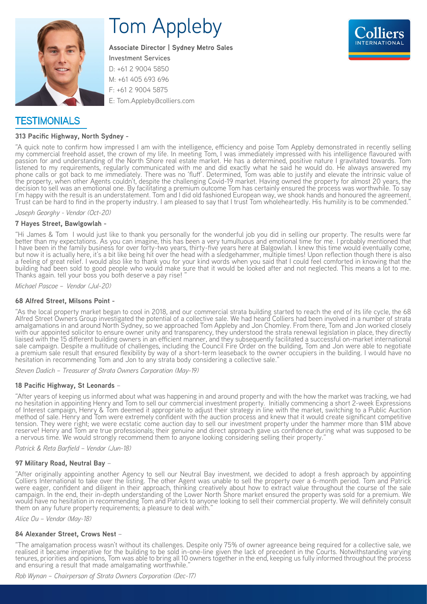

# Tom Appleby

**Associate Director | Sydney Metro Sales**



**Investment Services** D: +61 2 9004 5850 M: +61 405 693 696 F: +61 2 9004 5875 E: Tom.Appleby@colliers.com

## **TESTIMONIALS**

#### **313 Pacific Highway, North Sydney -**

"A quick note to confirm how impressed I am with the intelligence, efficiency and poise Tom Appleby demonstrated in recently selling my commercial freehold asset, the crown of my life. In meeting Tom, I was immediately impressed with his intelligence flavoured with passion for and understanding of the North Shore real estate market. He has a determined, positive nature I gravitated towards. Tom listened to my requirements, regularly communicated with me and did exactly what he said he would do. He always answered my phone calls or got back to me immediately. There was no 'fluff'. Determined, Tom was able to justify and elevate the intrinsic value of the property, when other Agents couldn't, despite the challenging Covid-19 market. Having owned the property for almost 20 years, the decision to sell was an emotional one. By facilitating a premium outcome Tom has certainly ensured the process was worthwhile. To say I'm happy with the result is an understatement. Tom and I did old fashioned European way, we shook hands and honoured the agreement. Trust can be hard to find in the property industry. I am pleased to say that I trust Tom wholeheartedly. His humility is to be commended."

*Joseph Georghy - Vendor (Oct-20)*

#### **7 Hayes Street, Bawlgowlah -**

"Hi James & Tom I would just like to thank you personally for the wonderful job you did in selling our property. The results were far better than my expectations. As you can imagine, this has been a very tumultuous and emotional time for me. I probably mentioned that I have been in the family business for over forty-two years, thirty-five years here at Balgowlah. I knew this time would eventually come, but now it is actually here, it's a bit like being hit over the head with a sledgehammer, multiple times! Upon reflection though there is also a feeling of great relief. I would also like to thank you for your kind words when you said that I could feel comforted in knowing that the building had been sold to good people who would make sure that it would be looked after and not neglected. This means a lot to me. Thanks again. tell your boss you both deserve a pay rise!

*Michael Pascoe – Vendor (Jul-20)*

#### **68 Alfred Street, Milsons Point -**

"As the local property market began to cool in 2018, and our commercial strata building started to reach the end of its life cycle, the 68 Alfred Street Owners Group investigated the potential of a collective sale. We had heard Colliers had been involved in a number of strata amalgamations in and around North Sydney, so we approached Tom Appleby and Jon Chomley. From there, Tom and Jon worked closely with our appointed solicitor to ensure owner unity and transparency, they understood the strata renewal legislation in place, they directly liaised with the 15 different building owners in an efficient manner, and they subsequently facilitated a successful on-market international sale campaign. Despite a multitude of challenges, including the Council Fire Order on the building, Tom and Jon were able to negotiate a premium sale result that ensured flexibility by way of a short-term leaseback to the owner occupiers in the building. I would have no hesitation in recommending Tom and Jon to any strata body considering a collective sale.

*Steven Dadich – Treasurer of Strata Owners Corporation (May-19)*

#### **18 Pacific Highway, St Leonards** –

"After years of keeping us informed about what was happening in and around property and with the how the market was tracking, we had no hesitation in appointing Henry and Tom to sell our commercial investment property. Initially commencing a short 2-week Expressions of Interest campaign, Henry & Tom deemed it appropriate to adjust their strategy in line with the market, switching to a Public Auction method of sale. Henry and Tom were extremely confident with the auction process and knew that it would create significant competitive tension. They were right; we were ecstatic come auction day to sell our investment property under the hammer more than \$1M above reserve! Henry and Tom are true professionals; their genuine and direct approach gave us confidence during what was supposed to be a nervous time. We would strongly recommend them to anyone looking considering selling their property."

*Patrick & Reta Barfield – Vendor (Jun-18)*

#### **97 Military Road, Neutral Bay** –

"After originally appointing another Agency to sell our Neutral Bay investment, we decided to adopt a fresh approach by appointing Colliers International to take over the listing. The other Agent was unable to sell the property over a 6-month period. Tom and Patrick were eager, confident and diligent in their approach, thinking creatively about how to extract value throughout the course of the sale campaign. In the end, their in-depth understanding of the Lower North Shore market ensured the property was sold for a premium. We would have no hesitation in recommending Tom and Patrick to anyone looking to sell their commercial property. We will definitely consult them on any future property requirements; a pleasure to deal with."

*Alice Ou – Vendor (May-18)*

#### **84 Alexander Street, Crows Nest** –

"The amalgamation process wasn't without its challenges. Despite only 75% of owner agreeance being required for a collective sale, we realised it became imperative for the building to be sold in-one-line given the lack of precedent in the Courts. Notwithstanding varying tenures, priorities and opinions, Tom was able to bring all 10 owners together in the end, keeping us fully informed throughout the process and ensuring a result that made amalgamating worthwhile.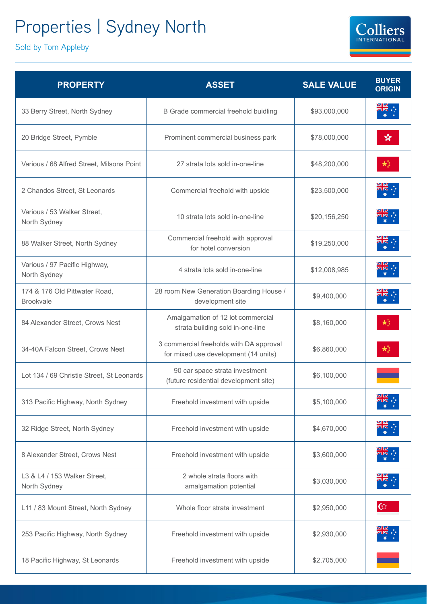## Properties | Sydney North

Sold by Tom Appleby

| <b>PROPERTY</b>                                   | <b>ASSET</b>                                                                    | <b>SALE VALUE</b> | <b>BUYER</b><br><b>ORIGIN</b> |
|---------------------------------------------------|---------------------------------------------------------------------------------|-------------------|-------------------------------|
| 33 Berry Street, North Sydney                     | B Grade commercial freehold buidling                                            | \$93,000,000      |                               |
| 20 Bridge Street, Pymble                          | Prominent commercial business park                                              | \$78,000,000      | ☆                             |
| Various / 68 Alfred Street, Milsons Point         | 27 strata lots sold in-one-line                                                 | \$48,200,000      |                               |
| 2 Chandos Street, St Leonards                     | Commercial freehold with upside                                                 | \$23,500,000      |                               |
| Various / 53 Walker Street,<br>North Sydney       | 10 strata lots sold in-one-line                                                 | \$20,156,250      |                               |
| 88 Walker Street, North Sydney                    | Commercial freehold with approval<br>for hotel conversion                       | \$19,250,000      |                               |
| Various / 97 Pacific Highway,<br>North Sydney     | 4 strata lots sold in-one-line                                                  | \$12,008,985      |                               |
| 174 & 176 Old Pittwater Road,<br><b>Brookvale</b> | 28 room New Generation Boarding House /<br>development site                     | \$9,400,000       |                               |
| 84 Alexander Street, Crows Nest                   | Amalgamation of 12 lot commercial<br>strata building sold in-one-line           | \$8,160,000       |                               |
| 34-40A Falcon Street, Crows Nest                  | 3 commercial freeholds with DA approval<br>for mixed use development (14 units) | \$6,860,000       | ★                             |
| Lot 134 / 69 Christie Street, St Leonards         | 90 car space strata investment<br>(future residential development site)         | \$6,100,000       |                               |
| 313 Pacific Highway, North Sydney                 | Freehold investment with upside                                                 | \$5,100,000       | ₩                             |
| 32 Ridge Street, North Sydney                     | Freehold investment with upside                                                 | \$4,670,000       |                               |
| 8 Alexander Street, Crows Nest                    | Freehold investment with upside                                                 | \$3,600,000       |                               |
| L3 & L4 / 153 Walker Street,<br>North Sydney      | 2 whole strata floors with<br>amalgamation potential                            | \$3,030,000       |                               |
| L11 / 83 Mount Street, North Sydney               | Whole floor strata investment                                                   | \$2,950,000       | $\mathfrak{C}^{\star}$        |
| 253 Pacific Highway, North Sydney                 | Freehold investment with upside                                                 | \$2,930,000       |                               |
| 18 Pacific Highway, St Leonards                   | Freehold investment with upside                                                 | \$2,705,000       |                               |

**Colliers** INTERNATIONAL